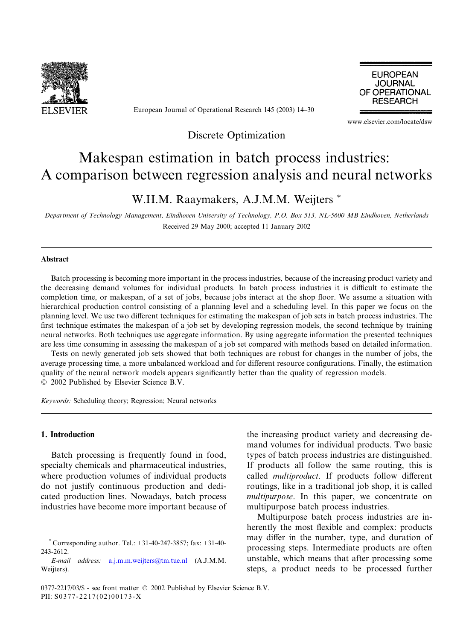

European Journal of Operational Research 145 (2003) 14–30



www.elsevier.com/locate/dsw

Discrete Optimization

# Makespan estimation in batch process industries: A comparison between regression analysis and neural networks

W.H.M. Raaymakers, A.J.M.M. Weijters \*

Department of Technology Management, Eindhoven University of Technology, P.O. Box 513, NL-5600 MB Eindhoven, Netherlands Received 29 May 2000; accepted 11 January 2002

#### Abstract

Batch processing is becoming more important in the process industries, because of the increasing product variety and the decreasing demand volumes for individual products. In batch process industries it is difficult to estimate the completion time, or makespan, of a set of jobs, because jobs interact at the shop floor. We assume a situation with hierarchical production control consisting of a planning level and a scheduling level. In this paper we focus on the planning level. We use two different techniques for estimating the makespan of job sets in batch process industries. The first technique estimates the makespan of a job set by developing regression models, the second technique by training neural networks. Both techniques use aggregate information. By using aggregate information the presented techniques are less time consuming in assessing the makespan of a job set compared with methods based on detailed information.

Tests on newly generated job sets showed that both techniques are robust for changes in the number of jobs, the average processing time, a more unbalanced workload and for different resource configurations. Finally, the estimation quality of the neural network models appears significantly better than the quality of regression models. 2002 Published by Elsevier Science B.V.

Keywords: Scheduling theory; Regression; Neural networks

# 1. Introduction

Batch processing is frequently found in food, specialty chemicals and pharmaceutical industries, where production volumes of individual products do not justify continuous production and dedicated production lines. Nowadays, batch process industries have become more important because of the increasing product variety and decreasing demand volumes for individual products. Two basic types of batch process industries are distinguished. If products all follow the same routing, this is called multiproduct. If products follow different routings, like in a traditional job shop, it is called multipurpose. In this paper, we concentrate on multipurpose batch process industries.

Multipurpose batch process industries are inherently the most flexible and complex: products may differ in the number, type, and duration of processing steps. Intermediate products are often unstable, which means that after processing some steps, a product needs to be processed further

<sup>\*</sup> Corresponding author. Tel.: +31-40-247-3857; fax: +31-40- 243-2612.

E-mail address: [a.j.m.m.weijters@tm.tue.nl](mail to: a.j.m.m.weijters@tm.tue.nl) (A.J.M.M. Weijters).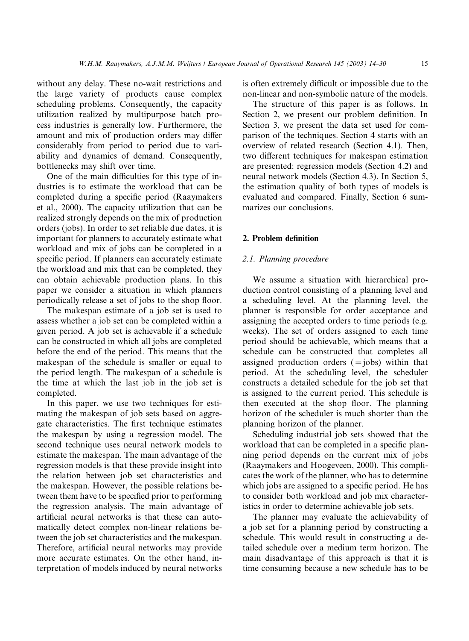without any delay. These no-wait restrictions and the large variety of products cause complex scheduling problems. Consequently, the capacity utilization realized by multipurpose batch process industries is generally low. Furthermore, the amount and mix of production orders may differ considerably from period to period due to variability and dynamics of demand. Consequently, bottlenecks may shift over time.

One of the main difficulties for this type of industries is to estimate the workload that can be completed during a specific period (Raaymakers et al., 2000). The capacity utilization that can be realized strongly depends on the mix of production orders (jobs). In order to set reliable due dates, it is important for planners to accurately estimate what workload and mix of jobs can be completed in a specific period. If planners can accurately estimate the workload and mix that can be completed, they can obtain achievable production plans. In this paper we consider a situation in which planners periodically release a set of jobs to the shop floor.

The makespan estimate of a job set is used to assess whether a job set can be completed within a given period. A job set is achievable if a schedule can be constructed in which all jobs are completed before the end of the period. This means that the makespan of the schedule is smaller or equal to the period length. The makespan of a schedule is the time at which the last job in the job set is completed.

In this paper, we use two techniques for estimating the makespan of job sets based on aggregate characteristics. The first technique estimates the makespan by using a regression model. The second technique uses neural network models to estimate the makespan. The main advantage of the regression models is that these provide insight into the relation between job set characteristics and the makespan. However, the possible relations between them have to be specified prior to performing the regression analysis. The main advantage of artificial neural networks is that these can automatically detect complex non-linear relations between the job set characteristics and the makespan. Therefore, artificial neural networks may provide more accurate estimates. On the other hand, interpretation of models induced by neural networks

is often extremely difficult or impossible due to the non-linear and non-symbolic nature of the models.

The structure of this paper is as follows. In Section 2, we present our problem definition. In Section 3, we present the data set used for comparison of the techniques. Section 4 starts with an overview of related research (Section 4.1). Then, two different techniques for makespan estimation are presented: regression models (Section 4.2) and neural network models (Section 4.3). In Section 5, the estimation quality of both types of models is evaluated and compared. Finally, Section 6 summarizes our conclusions.

#### 2. Problem definition

# 2.1. Planning procedure

We assume a situation with hierarchical production control consisting of a planning level and a scheduling level. At the planning level, the planner is responsible for order acceptance and assigning the accepted orders to time periods (e.g. weeks). The set of orders assigned to each time period should be achievable, which means that a schedule can be constructed that completes all assigned production orders  $( = jobs)$  within that period. At the scheduling level, the scheduler constructs a detailed schedule for the job set that is assigned to the current period. This schedule is then executed at the shop floor. The planning horizon of the scheduler is much shorter than the planning horizon of the planner.

Scheduling industrial job sets showed that the workload that can be completed in a specific planning period depends on the current mix of jobs (Raaymakers and Hoogeveen, 2000). This complicates the work of the planner, who has to determine which jobs are assigned to a specific period. He has to consider both workload and job mix characteristics in order to determine achievable job sets.

The planner may evaluate the achievability of a job set for a planning period by constructing a schedule. This would result in constructing a detailed schedule over a medium term horizon. The main disadvantage of this approach is that it is time consuming because a new schedule has to be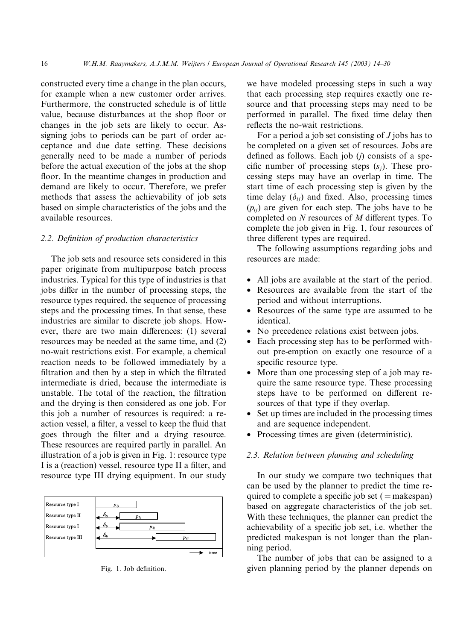constructed every time a change in the plan occurs, for example when a new customer order arrives. Furthermore, the constructed schedule is of little value, because disturbances at the shop floor or changes in the job sets are likely to occur. Assigning jobs to periods can be part of order acceptance and due date setting. These decisions generally need to be made a number of periods before the actual execution of the jobs at the shop floor. In the meantime changes in production and demand are likely to occur. Therefore, we prefer methods that assess the achievability of job sets based on simple characteristics of the jobs and the available resources.

# 2.2. Definition of production characteristics

The job sets and resource sets considered in this paper originate from multipurpose batch process industries. Typical for this type of industries is that jobs differ in the number of processing steps, the resource types required, the sequence of processing steps and the processing times. In that sense, these industries are similar to discrete job shops. However, there are two main differences: (1) several resources may be needed at the same time, and (2) no-wait restrictions exist. For example, a chemical reaction needs to be followed immediately by a filtration and then by a step in which the filtrated intermediate is dried, because the intermediate is unstable. The total of the reaction, the filtration and the drying is then considered as one job. For this job a number of resources is required: a reaction vessel, a filter, a vessel to keep the fluid that goes through the filter and a drying resource. These resources are required partly in parallel. An illustration of a job is given in Fig. 1: resource type I is a (reaction) vessel, resource type II a filter, and resource type III drying equipment. In our study



we have modeled processing steps in such a way that each processing step requires exactly one resource and that processing steps may need to be performed in parallel. The fixed time delay then reflects the no-wait restrictions.

For a period a job set consisting of  $J$  jobs has to be completed on a given set of resources. Jobs are defined as follows. Each job  $(i)$  consists of a specific number of processing steps  $(s_i)$ . These processing steps may have an overlap in time. The start time of each processing step is given by the time delay  $(\delta_{ii})$  and fixed. Also, processing times  $(p_{ii})$  are given for each step. The jobs have to be completed on N resources of M different types. To complete the job given in Fig. 1, four resources of three different types are required.

The following assumptions regarding jobs and resources are made:

- All jobs are available at the start of the period.
- Resources are available from the start of the period and without interruptions.
- Resources of the same type are assumed to be identical.
- No precedence relations exist between jobs.
- Each processing step has to be performed without pre-emption on exactly one resource of a specific resource type.
- More than one processing step of a job may require the same resource type. These processing steps have to be performed on different resources of that type if they overlap.
- Set up times are included in the processing times and are sequence independent.
- Processing times are given (deterministic).

# 2.3. Relation between planning and scheduling

In our study we compare two techniques that can be used by the planner to predict the time required to complete a specific job set  $( =$  makespan) based on aggregate characteristics of the job set. With these techniques, the planner can predict the achievability of a specific job set, i.e. whether the predicted makespan is not longer than the planning period.

The number of jobs that can be assigned to a Fig. 1. Job definition. given planning period by the planner depends on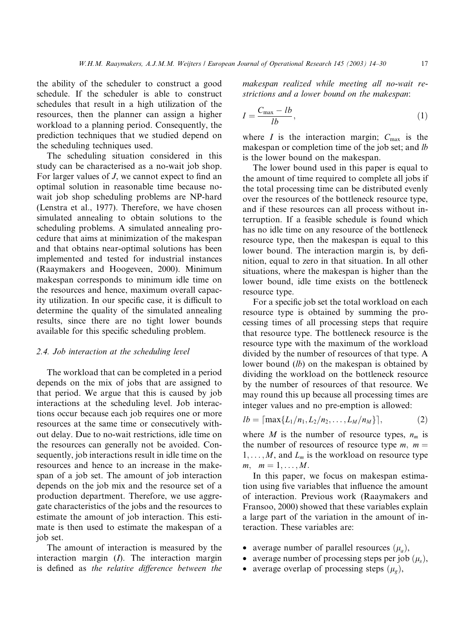the ability of the scheduler to construct a good schedule. If the scheduler is able to construct schedules that result in a high utilization of the resources, then the planner can assign a higher workload to a planning period. Consequently, the prediction techniques that we studied depend on the scheduling techniques used.

The scheduling situation considered in this study can be characterised as a no-wait job shop. For larger values of  $J$ , we cannot expect to find an optimal solution in reasonable time because nowait job shop scheduling problems are NP-hard (Lenstra et al., 1977). Therefore, we have chosen simulated annealing to obtain solutions to the scheduling problems. A simulated annealing procedure that aims at minimization of the makespan and that obtains near-optimal solutions has been implemented and tested for industrial instances (Raaymakers and Hoogeveen, 2000). Minimum makespan corresponds to minimum idle time on the resources and hence, maximum overall capacity utilization. In our specific case, it is difficult to determine the quality of the simulated annealing results, since there are no tight lower bounds available for this specific scheduling problem.

## 2.4. Job interaction at the scheduling level

The workload that can be completed in a period depends on the mix of jobs that are assigned to that period. We argue that this is caused by job interactions at the scheduling level. Job interactions occur because each job requires one or more resources at the same time or consecutively without delay. Due to no-wait restrictions, idle time on the resources can generally not be avoided. Consequently, job interactions result in idle time on the resources and hence to an increase in the makespan of a job set. The amount of job interaction depends on the job mix and the resource set of a production department. Therefore, we use aggregate characteristics of the jobs and the resources to estimate the amount of job interaction. This estimate is then used to estimate the makespan of a job set.

The amount of interaction is measured by the interaction margin  $(I)$ . The interaction margin is defined as the relative difference between the makespan realized while meeting all no-wait restrictions and a lower bound on the makespan:

$$
I = \frac{C_{\text{max}} - lb}{lb},\tag{1}
$$

where I is the interaction margin;  $C_{\text{max}}$  is the makespan or completion time of the job set; and *lb* is the lower bound on the makespan.

The lower bound used in this paper is equal to the amount of time required to complete all jobs if the total processing time can be distributed evenly over the resources of the bottleneck resource type, and if these resources can all process without interruption. If a feasible schedule is found which has no idle time on any resource of the bottleneck resource type, then the makespan is equal to this lower bound. The interaction margin is, by definition, equal to zero in that situation. In all other situations, where the makespan is higher than the lower bound, idle time exists on the bottleneck resource type.

For a specific job set the total workload on each resource type is obtained by summing the processing times of all processing steps that require that resource type. The bottleneck resource is the resource type with the maximum of the workload divided by the number of resources of that type. A lower bound (*lb*) on the makespan is obtained by dividing the workload on the bottleneck resource by the number of resources of that resource. We may round this up because all processing times are integer values and no pre-emption is allowed:

$$
lb = \lceil \max\{L_1/n_1, L_2/n_2, \dots, L_M/n_M\} \rceil,
$$
 (2)

where M is the number of resource types,  $n_m$  is the number of resources of resource type  $m$ ,  $m =$  $1, \ldots, M$ , and  $L_m$  is the workload on resource type  $m, m = 1, \ldots, M.$ 

In this paper, we focus on makespan estimation using five variables that influence the amount of interaction. Previous work (Raaymakers and Fransoo, 2000) showed that these variables explain a large part of the variation in the amount of interaction. These variables are:

- average number of parallel resources  $(\mu_a)$ ,
- average number of processing steps per job  $(\mu_s)$ ,
- average overlap of processing steps  $(\mu_{\varphi})$ ,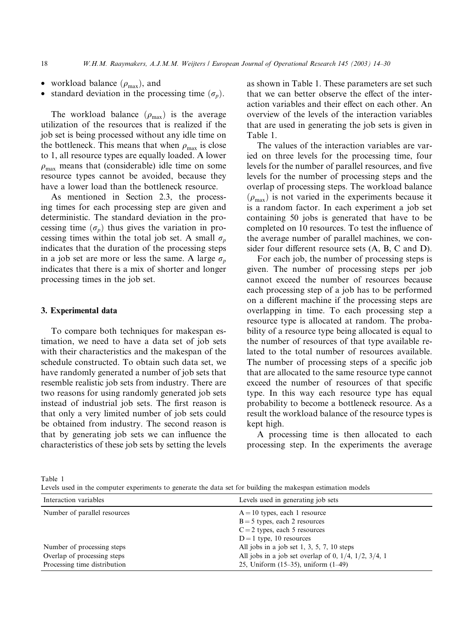- workload balance  $(\rho_{\text{max}})$ , and
- standard deviation in the processing time  $(\sigma_p)$ .

The workload balance  $(\rho_{\text{max}})$  is the average utilization of the resources that is realized if the job set is being processed without any idle time on the bottleneck. This means that when  $\rho_{\text{max}}$  is close to 1, all resource types are equally loaded. A lower  $\rho_{\text{max}}$  means that (considerable) idle time on some resource types cannot be avoided, because they have a lower load than the bottleneck resource.

As mentioned in Section 2.3, the processing times for each processing step are given and deterministic. The standard deviation in the processing time  $(\sigma_p)$  thus gives the variation in processing times within the total job set. A small  $\sigma_p$ indicates that the duration of the processing steps in a job set are more or less the same. A large  $\sigma_p$ indicates that there is a mix of shorter and longer processing times in the job set.

#### 3. Experimental data

To compare both techniques for makespan estimation, we need to have a data set of job sets with their characteristics and the makespan of the schedule constructed. To obtain such data set, we have randomly generated a number of job sets that resemble realistic job sets from industry. There are two reasons for using randomly generated job sets instead of industrial job sets. The first reason is that only a very limited number of job sets could be obtained from industry. The second reason is that by generating job sets we can influence the characteristics of these job sets by setting the levels as shown in Table 1. These parameters are set such that we can better observe the effect of the interaction variables and their effect on each other. An overview of the levels of the interaction variables that are used in generating the job sets is given in Table 1.

The values of the interaction variables are varied on three levels for the processing time, four levels for the number of parallel resources, and five levels for the number of processing steps and the overlap of processing steps. The workload balance  $(\rho_{\text{max}})$  is not varied in the experiments because it is a random factor. In each experiment a job set containing 50 jobs is generated that have to be completed on 10 resources. To test the influence of the average number of parallel machines, we consider four different resource sets (A, B, C and D).

For each job, the number of processing steps is given. The number of processing steps per job cannot exceed the number of resources because each processing step of a job has to be performed on a different machine if the processing steps are overlapping in time. To each processing step a resource type is allocated at random. The probability of a resource type being allocated is equal to the number of resources of that type available related to the total number of resources available. The number of processing steps of a specific job that are allocated to the same resource type cannot exceed the number of resources of that specific type. In this way each resource type has equal probability to become a bottleneck resource. As a result the workload balance of the resource types is kept high.

A processing time is then allocated to each processing step. In the experiments the average

Table 1

Levels used in the computer experiments to generate the data set for building the makespan estimation models

| Interaction variables                                                                     | Levels used in generating job sets                                                                                                                        |
|-------------------------------------------------------------------------------------------|-----------------------------------------------------------------------------------------------------------------------------------------------------------|
| Number of parallel resources                                                              | $A = 10$ types, each 1 resource<br>$B = 5$ types, each 2 resources<br>$C = 2$ types, each 5 resources<br>$D = 1$ type, 10 resources                       |
| Number of processing steps<br>Overlap of processing steps<br>Processing time distribution | All jobs in a job set $1, 3, 5, 7, 10$ steps<br>All jobs in a job set overlap of 0, $1/4$ , $1/2$ , $3/4$ , 1<br>25, Uniform $(15-35)$ , uniform $(1-49)$ |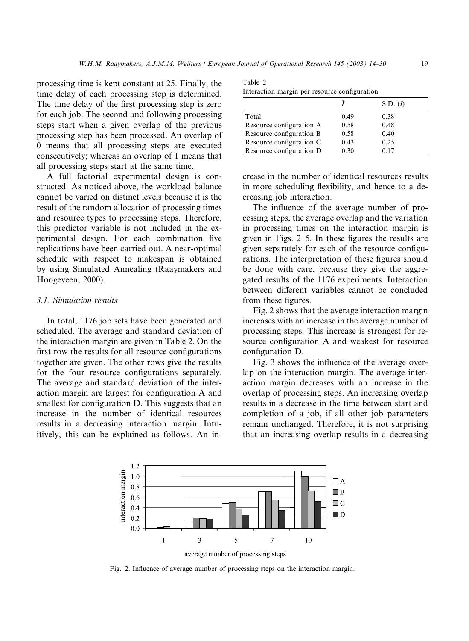processing time is kept constant at 25. Finally, the time delay of each processing step is determined. The time delay of the first processing step is zero for each job. The second and following processing steps start when a given overlap of the previous processing step has been processed. An overlap of 0 means that all processing steps are executed consecutively; whereas an overlap of 1 means that all processing steps start at the same time.

A full factorial experimental design is constructed. As noticed above, the workload balance cannot be varied on distinct levels because it is the result of the random allocation of processing times and resource types to processing steps. Therefore, this predictor variable is not included in the experimental design. For each combination five replications have been carried out. A near-optimal schedule with respect to makespan is obtained by using Simulated Annealing (Raaymakers and Hoogeveen, 2000).

## 3.1. Simulation results

In total, 1176 job sets have been generated and scheduled. The average and standard deviation of the interaction margin are given in Table 2. On the first row the results for all resource configurations together are given. The other rows give the results for the four resource configurations separately. The average and standard deviation of the interaction margin are largest for configuration A and smallest for configuration D. This suggests that an increase in the number of identical resources results in a decreasing interaction margin. Intuitively, this can be explained as follows. An in-

| Table 2 |  |                                               |  |
|---------|--|-----------------------------------------------|--|
|         |  | Interaction margin per resource configuration |  |

|                          |      | S.D. (I) |
|--------------------------|------|----------|
| Total                    | 0.49 | 0.38     |
| Resource configuration A | 0.58 | 0.48     |
| Resource configuration B | 0.58 | 0.40     |
| Resource configuration C | 0.43 | 0.25     |
| Resource configuration D | 0.30 | 0.17     |

crease in the number of identical resources results in more scheduling flexibility, and hence to a decreasing job interaction.

The influence of the average number of processing steps, the average overlap and the variation in processing times on the interaction margin is given in Figs. 2–5. In these figures the results are given separately for each of the resource configurations. The interpretation of these figures should be done with care, because they give the aggregated results of the 1176 experiments. Interaction between different variables cannot be concluded from these figures.

Fig. 2 shows that the average interaction margin increases with an increase in the average number of processing steps. This increase is strongest for resource configuration A and weakest for resource configuration D.

Fig. 3 shows the influence of the average overlap on the interaction margin. The average interaction margin decreases with an increase in the overlap of processing steps. An increasing overlap results in a decrease in the time between start and completion of a job, if all other job parameters remain unchanged. Therefore, it is not surprising that an increasing overlap results in a decreasing



Fig. 2. Influence of average number of processing steps on the interaction margin.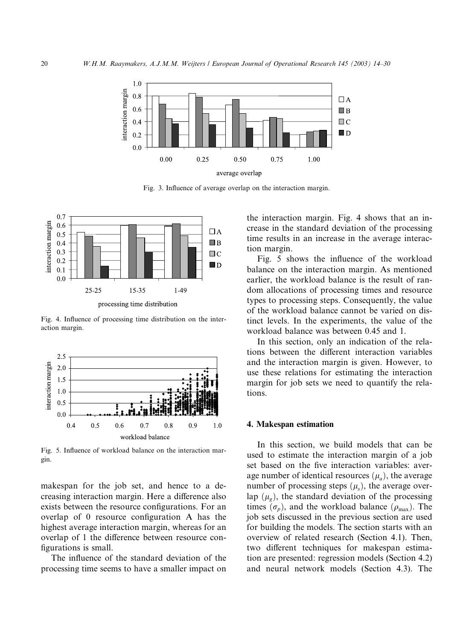

Fig. 3. Influence of average overlap on the interaction margin.



Fig. 4. Influence of processing time distribution on the interaction margin.



Fig. 5. Influence of workload balance on the interaction margin.

makespan for the job set, and hence to a decreasing interaction margin. Here a difference also exists between the resource configurations. For an overlap of 0 resource configuration A has the highest average interaction margin, whereas for an overlap of 1 the difference between resource configurations is small.

The influence of the standard deviation of the processing time seems to have a smaller impact on the interaction margin. Fig. 4 shows that an increase in the standard deviation of the processing time results in an increase in the average interaction margin.

Fig. 5 shows the influence of the workload balance on the interaction margin. As mentioned earlier, the workload balance is the result of random allocations of processing times and resource types to processing steps. Consequently, the value of the workload balance cannot be varied on distinct levels. In the experiments, the value of the workload balance was between 0.45 and 1.

In this section, only an indication of the relations between the different interaction variables and the interaction margin is given. However, to use these relations for estimating the interaction margin for job sets we need to quantify the relations.

### 4. Makespan estimation

In this section, we build models that can be used to estimate the interaction margin of a job set based on the five interaction variables: average number of identical resources  $(\mu_a)$ , the average number of processing steps  $(\mu_s)$ , the average overlap  $(\mu_{\varphi})$ , the standard deviation of the processing times  $(\sigma_p)$ , and the workload balance  $(\rho_{\text{max}})$ . The job sets discussed in the previous section are used for building the models. The section starts with an overview of related research (Section 4.1). Then, two different techniques for makespan estimation are presented: regression models (Section 4.2) and neural network models (Section 4.3). The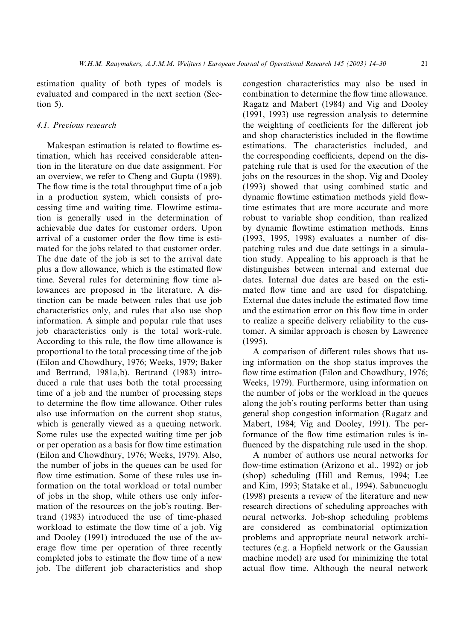estimation quality of both types of models is evaluated and compared in the next section (Section 5).

# 4.1. Previous research

Makespan estimation is related to flowtime estimation, which has received considerable attention in the literature on due date assignment. For an overview, we refer to Cheng and Gupta (1989). The flow time is the total throughput time of a job in a production system, which consists of processing time and waiting time. Flowtime estimation is generally used in the determination of achievable due dates for customer orders. Upon arrival of a customer order the flow time is estimated for the jobs related to that customer order. The due date of the job is set to the arrival date plus a flow allowance, which is the estimated flow time. Several rules for determining flow time allowances are proposed in the literature. A distinction can be made between rules that use job characteristics only, and rules that also use shop information. A simple and popular rule that uses job characteristics only is the total work-rule. According to this rule, the flow time allowance is proportional to the total processing time of the job (Eilon and Chowdhury, 1976; Weeks, 1979; Baker and Bertrand, 1981a,b). Bertrand (1983) introduced a rule that uses both the total processing time of a job and the number of processing steps to determine the flow time allowance. Other rules also use information on the current shop status, which is generally viewed as a queuing network. Some rules use the expected waiting time per job or per operation as a basis for flow time estimation (Eilon and Chowdhury, 1976; Weeks, 1979). Also, the number of jobs in the queues can be used for flow time estimation. Some of these rules use information on the total workload or total number of jobs in the shop, while others use only information of the resources on the job's routing. Bertrand (1983) introduced the use of time-phased workload to estimate the flow time of a job. Vig and Dooley (1991) introduced the use of the average flow time per operation of three recently completed jobs to estimate the flow time of a new job. The different job characteristics and shop

congestion characteristics may also be used in combination to determine the flow time allowance. Ragatz and Mabert (1984) and Vig and Dooley (1991, 1993) use regression analysis to determine the weighting of coefficients for the different job and shop characteristics included in the flowtime estimations. The characteristics included, and the corresponding coefficients, depend on the dispatching rule that is used for the execution of the jobs on the resources in the shop. Vig and Dooley (1993) showed that using combined static and dynamic flowtime estimation methods yield flowtime estimates that are more accurate and more robust to variable shop condition, than realized by dynamic flowtime estimation methods. Enns (1993, 1995, 1998) evaluates a number of dispatching rules and due date settings in a simulation study. Appealing to his approach is that he distinguishes between internal and external due dates. Internal due dates are based on the estimated flow time and are used for dispatching. External due dates include the estimated flow time and the estimation error on this flow time in order to realize a specific delivery reliability to the customer. A similar approach is chosen by Lawrence (1995).

A comparison of different rules shows that using information on the shop status improves the flow time estimation (Eilon and Chowdhury, 1976; Weeks, 1979). Furthermore, using information on the number of jobs or the workload in the queues along the job's routing performs better than using general shop congestion information (Ragatz and Mabert, 1984; Vig and Dooley, 1991). The performance of the flow time estimation rules is influenced by the dispatching rule used in the shop.

A number of authors use neural networks for flow-time estimation (Arizono et al., 1992) or job (shop) scheduling (Hill and Remus, 1994; Lee and Kim, 1993; Statake et al., 1994). Sabuncuoglu (1998) presents a review of the literature and new research directions of scheduling approaches with neural networks. Job-shop scheduling problems are considered as combinatorial optimization problems and appropriate neural network architectures (e.g. a Hopfield network or the Gaussian machine model) are used for minimizing the total actual flow time. Although the neural network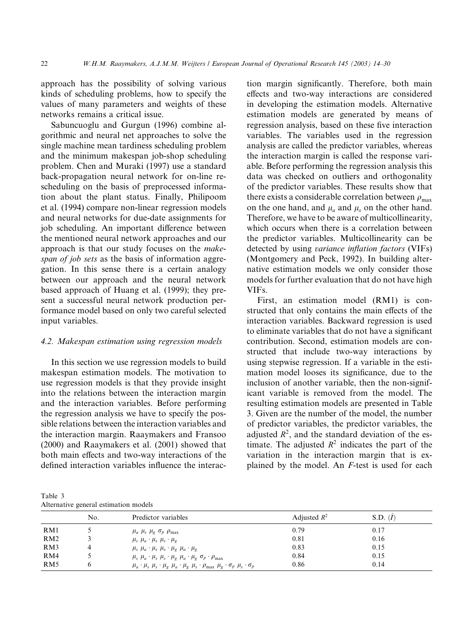approach has the possibility of solving various kinds of scheduling problems, how to specify the values of many parameters and weights of these networks remains a critical issue.

Sabuncuoglu and Gurgun (1996) combine algorithmic and neural net approaches to solve the single machine mean tardiness scheduling problem and the minimum makespan job-shop scheduling problem. Chen and Muraki (1997) use a standard back-propagation neural network for on-line rescheduling on the basis of preprocessed information about the plant status. Finally, Philipoom et al. (1994) compare non-linear regression models and neural networks for due-date assignments for job scheduling. An important difference between the mentioned neural network approaches and our approach is that our study focuses on the makespan of job sets as the basis of information aggregation. In this sense there is a certain analogy between our approach and the neural network based approach of Huang et al. (1999); they present a successful neural network production performance model based on only two careful selected input variables.

# 4.2. Makespan estimation using regression models

In this section we use regression models to build makespan estimation models. The motivation to use regression models is that they provide insight into the relations between the interaction margin and the interaction variables. Before performing the regression analysis we have to specify the possible relations between the interaction variables and the interaction margin. Raaymakers and Fransoo (2000) and Raaymakers et al. (2001) showed that both main effects and two-way interactions of the defined interaction variables influence the interaction margin significantly. Therefore, both main effects and two-way interactions are considered in developing the estimation models. Alternative estimation models are generated by means of regression analysis, based on these five interaction variables. The variables used in the regression analysis are called the predictor variables, whereas the interaction margin is called the response variable. Before performing the regression analysis this data was checked on outliers and orthogonality of the predictor variables. These results show that there exists a considerable correlation between  $\rho_{\text{max}}$ on the one hand, and  $\mu_a$  and  $\mu_s$  on the other hand. Therefore, we have to be aware of multicollinearity, which occurs when there is a correlation between the predictor variables. Multicollinearity can be detected by using variance inflation factors (VIFs) (Montgomery and Peck, 1992). In building alternative estimation models we only consider those models for further evaluation that do not have high VIFs.

First, an estimation model (RM1) is constructed that only contains the main effects of the interaction variables. Backward regression is used to eliminate variables that do not have a significant contribution. Second, estimation models are constructed that include two-way interactions by using stepwise regression. If a variable in the estimation model looses its significance, due to the inclusion of another variable, then the non-significant variable is removed from the model. The resulting estimation models are presented in Table 3. Given are the number of the model, the number of predictor variables, the predictor variables, the adjusted  $R^2$ , and the standard deviation of the estimate. The adjusted  $R^2$  indicates the part of the variation in the interaction margin that is explained by the model. An F-test is used for each

Table 3 Alternative general estimation models

|     | No. | Predictor variables                                                                                                                       | Adjusted $R^2$ | S.D. $(\hat{I})$ |
|-----|-----|-------------------------------------------------------------------------------------------------------------------------------------------|----------------|------------------|
| RM1 |     | $\mu_a$ $\mu_s$ $\mu_g$ $\sigma_p$ $\rho_{\text{max}}$                                                                                    | 0.79           | 0.17             |
| RM2 |     | $\mu_s$ $\mu_a$ $\cdot$ $\mu_s$ $\mu_s$ $\cdot$ $\mu_g$                                                                                   | 0.81           | 0.16             |
| RM3 |     | $\mu_s$ $\mu_a$ $\cdot$ $\mu_s$ $\mu_s$ $\cdot$ $\mu_g$ $\mu_a$ $\cdot$ $\mu_g$                                                           | 0.83           | 0.15             |
| RM4 |     | $\mu_s$ $\mu_a \cdot \mu_s$ $\mu_s \cdot \mu_e$ $\mu_a \cdot \mu_e$ $\sigma_p \cdot \rho_{\text{max}}$                                    | 0.84           | 0.15             |
| RM5 |     | $\mu_a \cdot \mu_s$ $\mu_s \cdot \mu_g$ $\mu_a \cdot \mu_g$ $\mu_s \cdot \rho_{\text{max}}$ $\mu_g \cdot \sigma_p$ $\mu_s \cdot \sigma_p$ | 0.86           | 0.14             |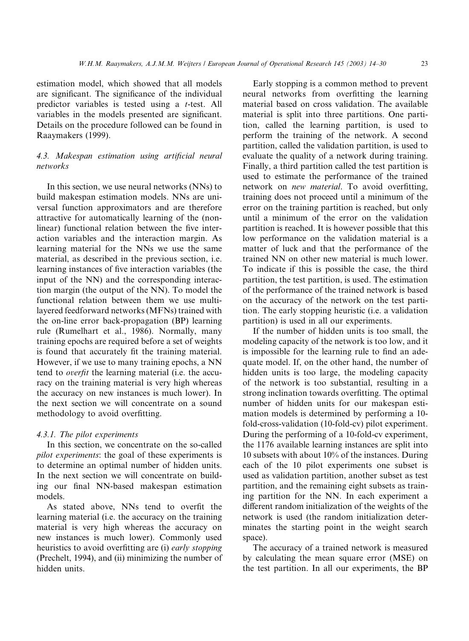estimation model, which showed that all models are significant. The significance of the individual predictor variables is tested using a t-test. All variables in the models presented are significant. Details on the procedure followed can be found in Raaymakers (1999).

# 4.3. Makespan estimation using artificial neural networks

In this section, we use neural networks (NNs) to build makespan estimation models. NNs are universal function approximators and are therefore attractive for automatically learning of the (nonlinear) functional relation between the five interaction variables and the interaction margin. As learning material for the NNs we use the same material, as described in the previous section, i.e. learning instances of five interaction variables (the input of the NN) and the corresponding interaction margin (the output of the NN). To model the functional relation between them we use multilayered feedforward networks (MFNs) trained with the on-line error back-propagation (BP) learning rule (Rumelhart et al., 1986). Normally, many training epochs are required before a set of weights is found that accurately fit the training material. However, if we use to many training epochs, a NN tend to overfit the learning material (i.e. the accuracy on the training material is very high whereas the accuracy on new instances is much lower). In the next section we will concentrate on a sound methodology to avoid overfitting.

#### 4.3.1. The pilot experiments

In this section, we concentrate on the so-called pilot experiments: the goal of these experiments is to determine an optimal number of hidden units. In the next section we will concentrate on building our final NN-based makespan estimation models.

As stated above, NNs tend to overfit the learning material (i.e. the accuracy on the training material is very high whereas the accuracy on new instances is much lower). Commonly used heuristics to avoid overfitting are (i) early stopping (Prechelt, 1994), and (ii) minimizing the number of hidden units.

Early stopping is a common method to prevent neural networks from overfitting the learning material based on cross validation. The available material is split into three partitions. One partition, called the learning partition, is used to perform the training of the network. A second partition, called the validation partition, is used to evaluate the quality of a network during training. Finally, a third partition called the test partition is used to estimate the performance of the trained network on new material. To avoid overfitting, training does not proceed until a minimum of the error on the training partition is reached, but only until a minimum of the error on the validation partition is reached. It is however possible that this low performance on the validation material is a matter of luck and that the performance of the trained NN on other new material is much lower. To indicate if this is possible the case, the third partition, the test partition, is used. The estimation of the performance of the trained network is based on the accuracy of the network on the test partition. The early stopping heuristic (i.e. a validation partition) is used in all our experiments.

If the number of hidden units is too small, the modeling capacity of the network is too low, and it is impossible for the learning rule to find an adequate model. If, on the other hand, the number of hidden units is too large, the modeling capacity of the network is too substantial, resulting in a strong inclination towards overfitting. The optimal number of hidden units for our makespan estimation models is determined by performing a 10 fold-cross-validation (10-fold-cv) pilot experiment. During the performing of a 10-fold-cv experiment, the 1176 available learning instances are split into 10 subsets with about 10% of the instances. During each of the 10 pilot experiments one subset is used as validation partition, another subset as test partition, and the remaining eight subsets as training partition for the NN. In each experiment a different random initialization of the weights of the network is used (the random initialization determinates the starting point in the weight search space).

The accuracy of a trained network is measured by calculating the mean square error (MSE) on the test partition. In all our experiments, the BP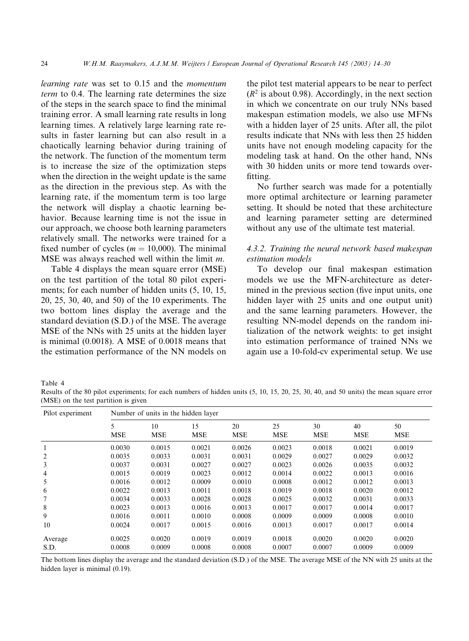learning rate was set to 0.15 and the momentum term to 0.4. The learning rate determines the size of the steps in the search space to find the minimal training error. A small learning rate results in long learning times. A relatively large learning rate results in faster learning but can also result in a chaotically learning behavior during training of the network. The function of the momentum term is to increase the size of the optimization steps when the direction in the weight update is the same as the direction in the previous step. As with the learning rate, if the momentum term is too large the network will display a chaotic learning behavior. Because learning time is not the issue in our approach, we choose both learning parameters relatively small. The networks were trained for a fixed number of cycles  $(m = 10,000)$ . The minimal MSE was always reached well within the limit m.

Table 4 displays the mean square error (MSE) on the test partition of the total 80 pilot experiments; for each number of hidden units (5, 10, 15, 20, 25, 30, 40, and 50) of the 10 experiments. The two bottom lines display the average and the standard deviation (S.D.) of the MSE. The average MSE of the NNs with 25 units at the hidden layer is minimal (0.0018). A MSE of 0.0018 means that the estimation performance of the NN models on the pilot test material appears to be near to perfect  $(R<sup>2</sup>$  is about 0.98). Accordingly, in the next section in which we concentrate on our truly NNs based makespan estimation models, we also use MFNs with a hidden layer of 25 units. After all, the pilot results indicate that NNs with less then 25 hidden units have not enough modeling capacity for the modeling task at hand. On the other hand, NNs with 30 hidden units or more tend towards overfitting.

No further search was made for a potentially more optimal architecture or learning parameter setting. It should be noted that these architecture and learning parameter setting are determined without any use of the ultimate test material.

# 4.3.2. Training the neural network based makespan estimation models

To develop our final makespan estimation models we use the MFN-architecture as determined in the previous section (five input units, one hidden layer with 25 units and one output unit) and the same learning parameters. However, the resulting NN-model depends on the random initialization of the network weights: to get insight into estimation performance of trained NNs we again use a 10-fold-cv experimental setup. We use

Table 4

Results of the 80 pilot experiments; for each numbers of hidden units (5, 10, 15, 20, 25, 30, 40, and 50 units) the mean square error (MSE) on the test partition is given

| Pilot experiment | Number of units in the hidden layer |                  |                  |                  |                  |                  |                  |                  |
|------------------|-------------------------------------|------------------|------------------|------------------|------------------|------------------|------------------|------------------|
|                  | 5<br><b>MSE</b>                     | 10<br><b>MSE</b> | 15<br><b>MSE</b> | 20<br><b>MSE</b> | 25<br><b>MSE</b> | 30<br><b>MSE</b> | 40<br><b>MSE</b> | 50<br><b>MSE</b> |
| 1                | 0.0030                              | 0.0015           | 0.0021           | 0.0026           | 0.0023           | 0.0018           | 0.0021           | 0.0019           |
| 2                | 0.0035                              | 0.0033           | 0.0031           | 0.0031           | 0.0029           | 0.0027           | 0.0029           | 0.0032           |
| 3                | 0.0037                              | 0.0031           | 0.0027           | 0.0027           | 0.0023           | 0.0026           | 0.0035           | 0.0032           |
| 4                | 0.0015                              | 0.0019           | 0.0023           | 0.0012           | 0.0014           | 0.0022           | 0.0013           | 0.0016           |
| 5                | 0.0016                              | 0.0012           | 0.0009           | 0.0010           | 0.0008           | 0.0012           | 0.0012           | 0.0013           |
| 6                | 0.0022                              | 0.0013           | 0.0011           | 0.0018           | 0.0019           | 0.0018           | 0.0020           | 0.0012           |
| 7                | 0.0034                              | 0.0033           | 0.0028           | 0.0028           | 0.0025           | 0.0032           | 0.0031           | 0.0033           |
| 8                | 0.0023                              | 0.0013           | 0.0016           | 0.0013           | 0.0017           | 0.0017           | 0.0014           | 0.0017           |
| 9                | 0.0016                              | 0.0011           | 0.0010           | 0.0008           | 0.0009           | 0.0009           | 0.0008           | 0.0010           |
| 10               | 0.0024                              | 0.0017           | 0.0015           | 0.0016           | 0.0013           | 0.0017           | 0.0017           | 0.0014           |
| Average          | 0.0025                              | 0.0020           | 0.0019           | 0.0019           | 0.0018           | 0.0020           | 0.0020           | 0.0020           |
| S.D.             | 0.0008                              | 0.0009           | 0.0008           | 0.0008           | 0.0007           | 0.0007           | 0.0009           | 0.0009           |

The bottom lines display the average and the standard deviation (S.D.) of the MSE. The average MSE of the NN with 25 units at the hidden layer is minimal (0.19).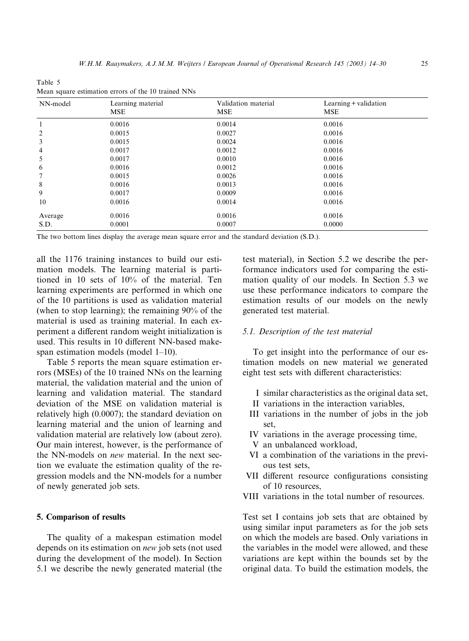Table 5 Mean square estimation errors of the 10 trained NNs

| NN-model       | Learning material<br>MSE | Validation material<br><b>MSE</b> | Learning + validation<br><b>MSE</b> |  |
|----------------|--------------------------|-----------------------------------|-------------------------------------|--|
| 1              | 0.0016                   | 0.0014                            | 0.0016                              |  |
| $\overline{2}$ | 0.0015                   | 0.0027                            | 0.0016                              |  |
| 3              | 0.0015                   | 0.0024                            | 0.0016                              |  |
| 4              | 0.0017                   | 0.0012                            | 0.0016                              |  |
| 5              | 0.0017                   | 0.0010                            | 0.0016                              |  |
| 6              | 0.0016                   | 0.0012                            | 0.0016                              |  |
| 7              | 0.0015                   | 0.0026                            | 0.0016                              |  |
| 8              | 0.0016                   | 0.0013                            | 0.0016                              |  |
| 9              | 0.0017                   | 0.0009                            | 0.0016                              |  |
| 10             | 0.0016                   | 0.0014                            | 0.0016                              |  |
| Average        | 0.0016                   | 0.0016                            | 0.0016                              |  |
| S.D.           | 0.0001                   | 0.0007                            | 0.0000                              |  |

The two bottom lines display the average mean square error and the standard deviation (S.D.).

all the 1176 training instances to build our estimation models. The learning material is partitioned in 10 sets of 10% of the material. Ten learning experiments are performed in which one of the 10 partitions is used as validation material (when to stop learning); the remaining 90% of the material is used as training material. In each experiment a different random weight initialization is used. This results in 10 different NN-based makespan estimation models (model 1–10).

Table 5 reports the mean square estimation errors (MSEs) of the 10 trained NNs on the learning material, the validation material and the union of learning and validation material. The standard deviation of the MSE on validation material is relatively high (0.0007); the standard deviation on learning material and the union of learning and validation material are relatively low (about zero). Our main interest, however, is the performance of the NN-models on new material. In the next section we evaluate the estimation quality of the regression models and the NN-models for a number of newly generated job sets.

## 5. Comparison of results

The quality of a makespan estimation model depends on its estimation on new job sets (not used during the development of the model). In Section 5.1 we describe the newly generated material (the test material), in Section 5.2 we describe the performance indicators used for comparing the estimation quality of our models. In Section 5.3 we use these performance indicators to compare the estimation results of our models on the newly generated test material.

# 5.1. Description of the test material

To get insight into the performance of our estimation models on new material we generated eight test sets with different characteristics:

- I similar characteristics as the original data set,
- II variations in the interaction variables,
- III variations in the number of jobs in the job set,
- IV variations in the average processing time,
- V an unbalanced workload,
- VI a combination of the variations in the previous test sets,
- IVII different resource configurations consisting of 10 resources,
- VIII variations in the total number of resources.

Test set I contains job sets that are obtained by using similar input parameters as for the job sets on which the models are based. Only variations in the variables in the model were allowed, and these variations are kept within the bounds set by the original data. To build the estimation models, the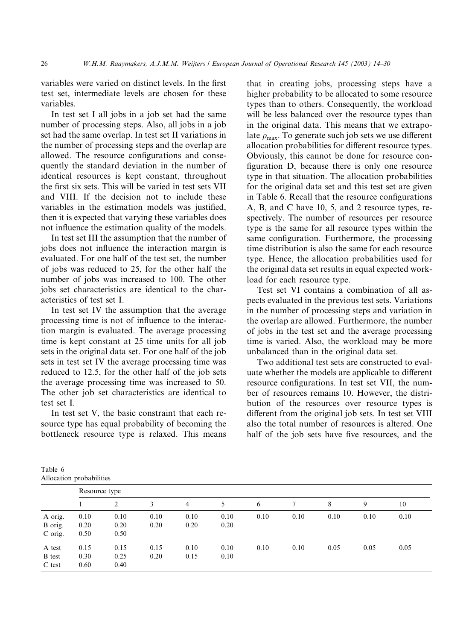variables were varied on distinct levels. In the first test set, intermediate levels are chosen for these variables.

In test set I all jobs in a job set had the same number of processing steps. Also, all jobs in a job set had the same overlap. In test set II variations in the number of processing steps and the overlap are allowed. The resource configurations and consequently the standard deviation in the number of identical resources is kept constant, throughout the first six sets. This will be varied in test sets VII and VIII. If the decision not to include these variables in the estimation models was justified, then it is expected that varying these variables does not influence the estimation quality of the models.

In test set III the assumption that the number of jobs does not influence the interaction margin is evaluated. For one half of the test set, the number of jobs was reduced to 25, for the other half the number of jobs was increased to 100. The other jobs set characteristics are identical to the characteristics of test set I.

In test set IV the assumption that the average processing time is not of influence to the interaction margin is evaluated. The average processing time is kept constant at 25 time units for all job sets in the original data set. For one half of the job sets in test set IV the average processing time was reduced to 12.5, for the other half of the job sets the average processing time was increased to 50. The other job set characteristics are identical to test set I.

In test set V, the basic constraint that each resource type has equal probability of becoming the bottleneck resource type is relaxed. This means that in creating jobs, processing steps have a higher probability to be allocated to some resource types than to others. Consequently, the workload will be less balanced over the resource types than in the original data. This means that we extrapolate  $\rho_{\text{max}}$ . To generate such job sets we use different allocation probabilities for different resource types. Obviously, this cannot be done for resource configuration D, because there is only one resource type in that situation. The allocation probabilities for the original data set and this test set are given in Table 6. Recall that the resource configurations A, B, and C have 10, 5, and 2 resource types, respectively. The number of resources per resource type is the same for all resource types within the same configuration. Furthermore, the processing time distribution is also the same for each resource type. Hence, the allocation probabilities used for the original data set results in equal expected workload for each resource type.

Test set VI contains a combination of all aspects evaluated in the previous test sets. Variations in the number of processing steps and variation in the overlap are allowed. Furthermore, the number of jobs in the test set and the average processing time is varied. Also, the workload may be more unbalanced than in the original data set.

Two additional test sets are constructed to evaluate whether the models are applicable to different resource configurations. In test set VII, the number of resources remains 10. However, the distribution of the resources over resource types is different from the original job sets. In test set VIII also the total number of resources is altered. One half of the job sets have five resources, and the

| Table 6 |                          |
|---------|--------------------------|
|         | Allocation probabilities |

| Allocation probabilities          |                      |                      |              |              |              |      |      |      |      |      |  |
|-----------------------------------|----------------------|----------------------|--------------|--------------|--------------|------|------|------|------|------|--|
|                                   | Resource type        |                      |              |              |              |      |      |      |      |      |  |
|                                   |                      | 2                    |              | 4            |              | 6    |      | 8    | 9    | 10   |  |
| A orig.<br>B orig.<br>C orig.     | 0.10<br>0.20<br>0.50 | 0.10<br>0.20<br>0.50 | 0.10<br>0.20 | 0.10<br>0.20 | 0.10<br>0.20 | 0.10 | 0.10 | 0.10 | 0.10 | 0.10 |  |
| A test<br><b>B</b> test<br>C test | 0.15<br>0.30<br>0.60 | 0.15<br>0.25<br>0.40 | 0.15<br>0.20 | 0.10<br>0.15 | 0.10<br>0.10 | 0.10 | 0.10 | 0.05 | 0.05 | 0.05 |  |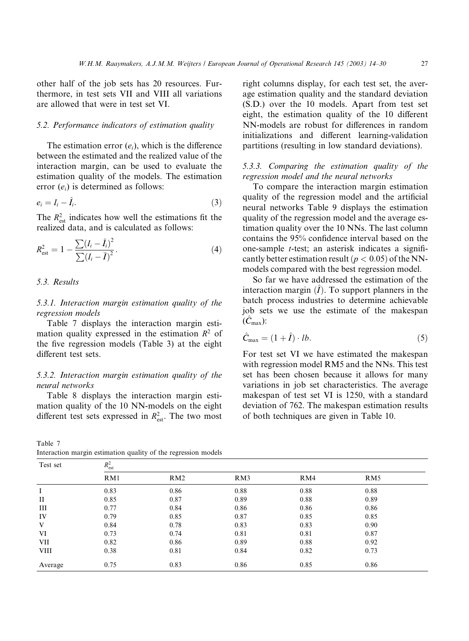other half of the job sets has 20 resources. Furthermore, in test sets VII and VIII all variations are allowed that were in test set VI.

# 5.2. Performance indicators of estimation quality

The estimation error  $(e_i)$ , which is the difference between the estimated and the realized value of the interaction margin, can be used to evaluate the estimation quality of the models. The estimation error  $(e_i)$  is determined as follows:

$$
e_i = I_i - \hat{I}_i. \tag{3}
$$

The  $R_{est}^2$  indicates how well the estimations fit the realized data, and is calculated as follows:

$$
R_{\text{est}}^{2} = 1 - \frac{\sum (I_{i} - \hat{I}_{i})^{2}}{\sum (I_{i} - \bar{I})^{2}}.
$$
\n(4)

# 5.3. Results

# 5.3.1. Interaction margin estimation quality of the regression models

Table 7 displays the interaction margin estimation quality expressed in the estimation  $R^2$  of the five regression models (Table 3) at the eight different test sets.

# 5.3.2. Interaction margin estimation quality of the neural networks

Table 8 displays the interaction margin estimation quality of the 10 NN-models on the eight different test sets expressed in  $R_{est}^2$ . The two most

Table 7 Interaction margin estimation quality of the regression models right columns display, for each test set, the average estimation quality and the standard deviation (S.D.) over the 10 models. Apart from test set eight, the estimation quality of the 10 different NN-models are robust for differences in random initializations and different learning-validation partitions (resulting in low standard deviations).

# 5.3.3. Comparing the estimation quality of the regression model and the neural networks

To compare the interaction margin estimation quality of the regression model and the artificial neural networks Table 9 displays the estimation quality of the regression model and the average estimation quality over the 10 NNs. The last column contains the 95% confidence interval based on the one-sample t-test; an asterisk indicates a significantly better estimation result ( $p < 0.05$ ) of the NNmodels compared with the best regression model.

So far we have addressed the estimation of the interaction margin  $(\hat{I})$ . To support planners in the batch process industries to determine achievable job sets we use the estimate of the makespan  $(\hat{C}_{\text{max}})$ :

$$
\hat{C}_{\text{max}} = (1 + \hat{I}) \cdot lb. \tag{5}
$$

For test set VI we have estimated the makespan with regression model RM5 and the NNs. This test set has been chosen because it allows for many variations in job set characteristics. The average makespan of test set VI is 1250, with a standard deviation of 762. The makespan estimation results of both techniques are given in Table 10.

| Test set    | $R^2_{est}$ |      |      |      |      |  |
|-------------|-------------|------|------|------|------|--|
|             | RM1         | RM2  | RM3  | RM4  | RM5  |  |
| Ι           | 0.83        | 0.86 | 0.88 | 0.88 | 0.88 |  |
| $_{\rm II}$ | 0.85        | 0.87 | 0.89 | 0.88 | 0.89 |  |
| Ш           | 0.77        | 0.84 | 0.86 | 0.86 | 0.86 |  |
| IV          | 0.79        | 0.85 | 0.87 | 0.85 | 0.85 |  |
| V           | 0.84        | 0.78 | 0.83 | 0.83 | 0.90 |  |
| VI          | 0.73        | 0.74 | 0.81 | 0.81 | 0.87 |  |
| VII         | 0.82        | 0.86 | 0.89 | 0.88 | 0.92 |  |
| <b>VIII</b> | 0.38        | 0.81 | 0.84 | 0.82 | 0.73 |  |
| Average     | 0.75        | 0.83 | 0.86 | 0.85 | 0.86 |  |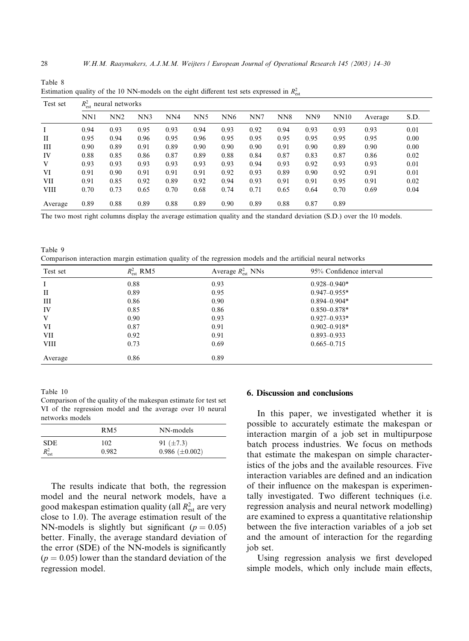Table 8

| Test set    | $R_{\text{est}}^2$ neural networks |      |      |                 |                 |                 |      |                 |                 |             |         |      |  |  |  |  |  |  |  |  |  |  |  |  |  |  |
|-------------|------------------------------------|------|------|-----------------|-----------------|-----------------|------|-----------------|-----------------|-------------|---------|------|--|--|--|--|--|--|--|--|--|--|--|--|--|--|
|             | NN1                                | NN2  | NN3  | NN <sub>4</sub> | NN <sub>5</sub> | NN <sub>6</sub> | NN7  | NN <sub>8</sub> | NN <sub>9</sub> | <b>NN10</b> | Average | S.D. |  |  |  |  |  |  |  |  |  |  |  |  |  |  |
| I           | 0.94                               | 0.93 | 0.95 | 0.93            | 0.94            | 0.93            | 0.92 | 0.94            | 0.93            | 0.93        | 0.93    | 0.01 |  |  |  |  |  |  |  |  |  |  |  |  |  |  |
| $_{\rm II}$ | 0.95                               | 0.94 | 0.96 | 0.95            | 0.96            | 0.95            | 0.95 | 0.95            | 0.95            | 0.95        | 0.95    | 0.00 |  |  |  |  |  |  |  |  |  |  |  |  |  |  |
| Ш           | 0.90                               | 0.89 | 0.91 | 0.89            | 0.90            | 0.90            | 0.90 | 0.91            | 0.90            | 0.89        | 0.90    | 0.00 |  |  |  |  |  |  |  |  |  |  |  |  |  |  |
| IV          | 0.88                               | 0.85 | 0.86 | 0.87            | 0.89            | 0.88            | 0.84 | 0.87            | 0.83            | 0.87        | 0.86    | 0.02 |  |  |  |  |  |  |  |  |  |  |  |  |  |  |
| V           | 0.93                               | 0.93 | 0.93 | 0.93            | 0.93            | 0.93            | 0.94 | 0.93            | 0.92            | 0.93        | 0.93    | 0.01 |  |  |  |  |  |  |  |  |  |  |  |  |  |  |
| VI          | 0.91                               | 0.90 | 0.91 | 0.91            | 0.91            | 0.92            | 0.93 | 0.89            | 0.90            | 0.92        | 0.91    | 0.01 |  |  |  |  |  |  |  |  |  |  |  |  |  |  |
| VII         | 0.91                               | 0.85 | 0.92 | 0.89            | 0.92            | 0.94            | 0.93 | 0.91            | 0.91            | 0.95        | 0.91    | 0.02 |  |  |  |  |  |  |  |  |  |  |  |  |  |  |
| <b>VIII</b> | 0.70                               | 0.73 | 0.65 | 0.70            | 0.68            | 0.74            | 0.71 | 0.65            | 0.64            | 0.70        | 0.69    | 0.04 |  |  |  |  |  |  |  |  |  |  |  |  |  |  |
| Average     | 0.89                               | 0.88 | 0.89 | 0.88            | 0.89            | 0.90            | 0.89 | 0.88            | 0.87            | 0.89        |         |      |  |  |  |  |  |  |  |  |  |  |  |  |  |  |

Estimation quality of the 10 NN-models on the eight different test sets expressed in  $R_{est}^2$ 

The two most right columns display the average estimation quality and the standard deviation (S.D.) over the 10 models.

Comparison interaction margin estimation quality of the regression models and the artificial neural networks

| Test set     | $R_{est}^2$ RM5 | Average $R_{\text{est}}^2$ NNs | 95% Confidence interval |
|--------------|-----------------|--------------------------------|-------------------------|
| I            | 0.88            | 0.93                           | $0.928 - 0.940*$        |
| $\mathbf{I}$ | 0.89            | 0.95                           | $0.947 - 0.955*$        |
| Ш            | 0.86            | 0.90                           | $0.894 - 0.904*$        |
| IV           | 0.85            | 0.86                           | $0.850 - 0.878*$        |
| V            | 0.90            | 0.93                           | $0.927 - 0.933*$        |
| VI           | 0.87            | 0.91                           | $0.902 - 0.918*$        |
| VII          | 0.92            | 0.91                           | $0.893 - 0.933$         |
| <b>VIII</b>  | 0.73            | 0.69                           | $0.665 - 0.715$         |
| Average      | 0.86            | 0.89                           |                         |

Table 10

Table 9

Comparison of the quality of the makespan estimate for test set VI of the regression model and the average over 10 neural networks models

|                 | RM <sub>5</sub> | NN-models           |
|-----------------|-----------------|---------------------|
| <b>SDE</b>      | 102             | 91 $(\pm 7.3)$      |
| $R_{\rm est}^2$ | 0.982           | 0.986 $(\pm 0.002)$ |

The results indicate that both, the regression model and the neural network models, have a good makespan estimation quality (all  $R_{\text{est}}^2$  are very close to 1.0). The average estimation result of the NN-models is slightly but significant ( $p = 0.05$ ) better. Finally, the average standard deviation of the error (SDE) of the NN-models is significantly  $(p = 0.05)$  lower than the standard deviation of the regression model.

## 6. Discussion and conclusions

In this paper, we investigated whether it is possible to accurately estimate the makespan or interaction margin of a job set in multipurpose batch process industries. We focus on methods that estimate the makespan on simple characteristics of the jobs and the available resources. Five interaction variables are defined and an indication of their influence on the makespan is experimentally investigated. Two different techniques (i.e. regression analysis and neural network modelling) are examined to express a quantitative relationship between the five interaction variables of a job set and the amount of interaction for the regarding job set.

Using regression analysis we first developed simple models, which only include main effects,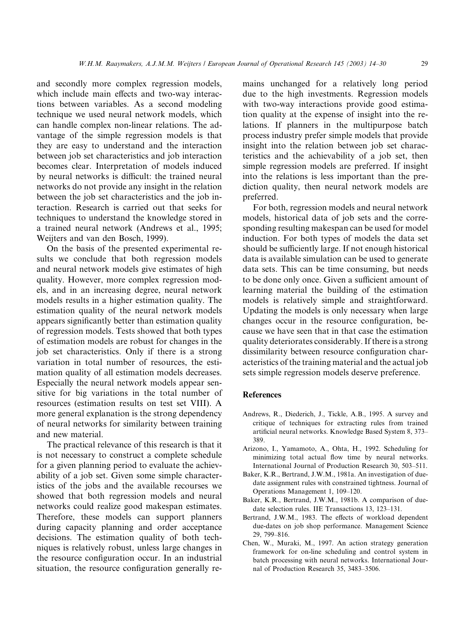and secondly more complex regression models, which include main effects and two-way interactions between variables. As a second modeling technique we used neural network models, which can handle complex non-linear relations. The advantage of the simple regression models is that they are easy to understand and the interaction between job set characteristics and job interaction becomes clear. Interpretation of models induced by neural networks is difficult: the trained neural networks do not provide any insight in the relation between the job set characteristics and the job interaction. Research is carried out that seeks for techniques to understand the knowledge stored in a trained neural network (Andrews et al., 1995; Weijters and van den Bosch, 1999).

On the basis of the presented experimental results we conclude that both regression models and neural network models give estimates of high quality. However, more complex regression models, and in an increasing degree, neural network models results in a higher estimation quality. The estimation quality of the neural network models appears significantly better than estimation quality of regression models. Tests showed that both types of estimation models are robust for changes in the job set characteristics. Only if there is a strong variation in total number of resources, the estimation quality of all estimation models decreases. Especially the neural network models appear sensitive for big variations in the total number of resources (estimation results on test set VIII). A more general explanation is the strong dependency of neural networks for similarity between training and new material.

The practical relevance of this research is that it is not necessary to construct a complete schedule for a given planning period to evaluate the achievability of a job set. Given some simple characteristics of the jobs and the available recourses we showed that both regression models and neural networks could realize good makespan estimates. Therefore, these models can support planners during capacity planning and order acceptance decisions. The estimation quality of both techniques is relatively robust, unless large changes in the resource configuration occur. In an industrial situation, the resource configuration generally remains unchanged for a relatively long period due to the high investments. Regression models with two-way interactions provide good estimation quality at the expense of insight into the relations. If planners in the multipurpose batch process industry prefer simple models that provide insight into the relation between job set characteristics and the achievability of a job set, then simple regression models are preferred. If insight into the relations is less important than the prediction quality, then neural network models are preferred.

For both, regression models and neural network models, historical data of job sets and the corresponding resulting makespan can be used for model induction. For both types of models the data set should be sufficiently large. If not enough historical data is available simulation can be used to generate data sets. This can be time consuming, but needs to be done only once. Given a sufficient amount of learning material the building of the estimation models is relatively simple and straightforward. Updating the models is only necessary when large changes occur in the resource configuration, because we have seen that in that case the estimation quality deteriorates considerably. If there is a strong dissimilarity between resource configuration characteristics of the training material and the actual job sets simple regression models deserve preference.

#### References

- Andrews, R., Diederich, J., Tickle, A.B., 1995. A survey and critique of techniques for extracting rules from trained artificial neural networks. Knowledge Based System 8, 373– 389.
- Arizono, I., Yamamoto, A., Ohta, H., 1992. Scheduling for minimizing total actual flow time by neural networks. International Journal of Production Research 30, 503–511.
- Baker, K.R., Bertrand, J.W.M., 1981a. An investigation of duedate assignment rules with constrained tightness. Journal of Operations Management 1, 109–120.
- Baker, K.R., Bertrand, J.W.M., 1981b. A comparison of duedate selection rules. IIE Transactions 13, 123–131.
- Bertrand, J.W.M., 1983. The effects of workload dependent due-dates on job shop performance. Management Science 29, 799–816.
- Chen, W., Muraki, M., 1997. An action strategy generation framework for on-line scheduling and control system in batch processing with neural networks. International Journal of Production Research 35, 3483–3506.